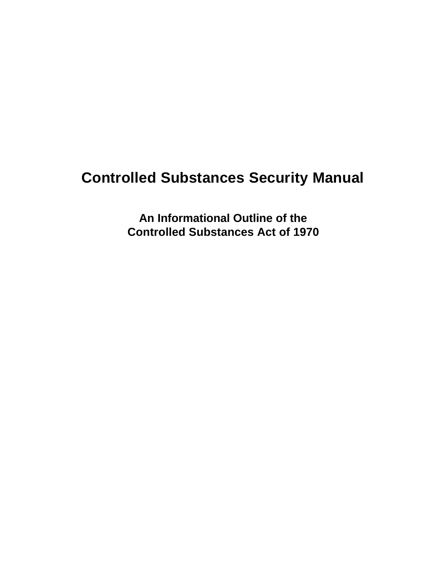# **Controlled Substances Security Manual**

**An Informational Outline of the Controlled Substances Act of 1970**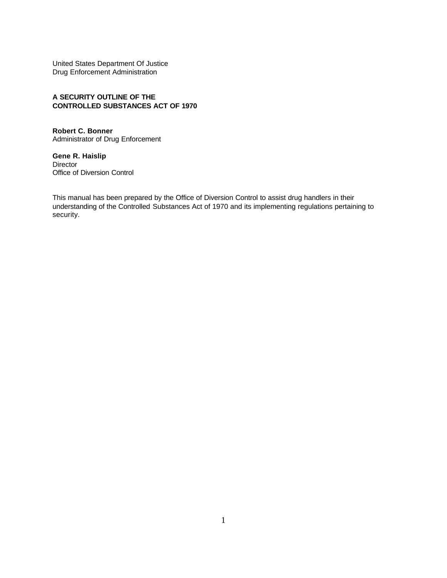United States Department Of Justice Drug Enforcement Administration

#### **A SECURITY OUTLINE OF THE CONTROLLED SUBSTANCES ACT OF 1970**

**Robert C. Bonner** Administrator of Drug Enforcement

**Gene R. Haislip** Director Office of Diversion Control

This manual has been prepared by the Office of Diversion Control to assist drug handlers in their understanding of the Controlled Substances Act of 1970 and its implementing regulations pertaining to security.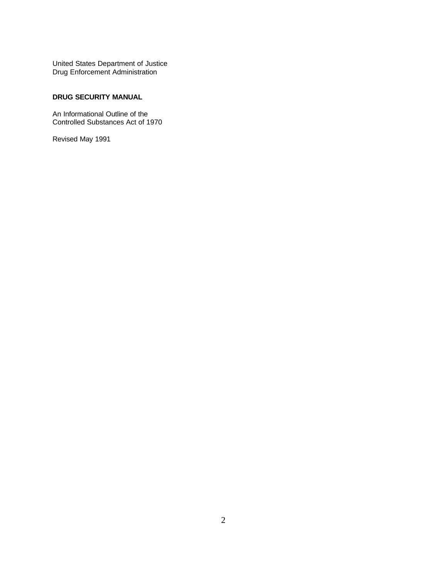United States Department of Justice Drug Enforcement Administration

#### **DRUG SECURITY MANUAL**

An Informational Outline of the Controlled Substances Act of 1970

Revised May 1991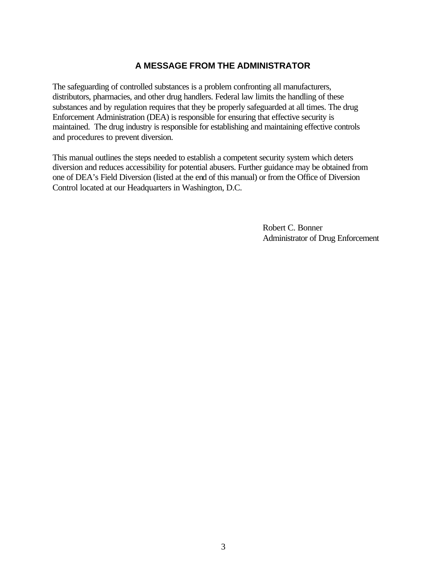# **A MESSAGE FROM THE ADMINISTRATOR**

The safeguarding of controlled substances is a problem confronting all manufacturers, distributors, pharmacies, and other drug handlers. Federal law limits the handling of these substances and by regulation requires that they be properly safeguarded at all times. The drug Enforcement Administration (DEA) is responsible for ensuring that effective security is maintained. The drug industry is responsible for establishing and maintaining effective controls and procedures to prevent diversion.

This manual outlines the steps needed to establish a competent security system which deters diversion and reduces accessibility for potential abusers. Further guidance may be obtained from one of DEA's Field Diversion (listed at the end of this manual) or from the Office of Diversion Control located at our Headquarters in Washington, D.C.

> Robert C. Bonner Administrator of Drug Enforcement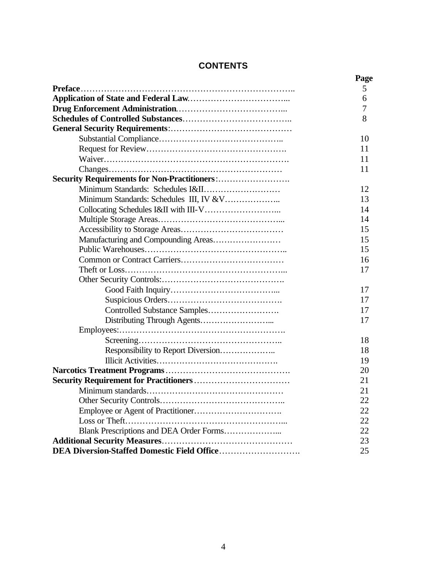# **CONTENTS**

|                                               | Page |
|-----------------------------------------------|------|
|                                               | 5    |
|                                               | 6    |
|                                               | 7    |
|                                               | 8    |
|                                               |      |
|                                               | 10   |
|                                               | 11   |
|                                               | 11   |
|                                               | 11   |
|                                               |      |
|                                               | 12   |
| Minimum Standards: Schedules III, IV &V       | 13   |
|                                               | 14   |
|                                               | 14   |
|                                               | 15   |
|                                               | 15   |
|                                               | 15   |
|                                               | 16   |
|                                               | 17   |
|                                               |      |
|                                               | 17   |
|                                               | 17   |
|                                               | 17   |
|                                               | 17   |
|                                               |      |
|                                               | 18   |
|                                               | 18   |
|                                               | 19   |
|                                               | 20   |
| <b>Security Requirement for Practitioners</b> | 21   |
|                                               | 21   |
|                                               | 22   |
|                                               | 22   |
|                                               | 22   |
|                                               | 22   |
|                                               | 23   |
|                                               | 25   |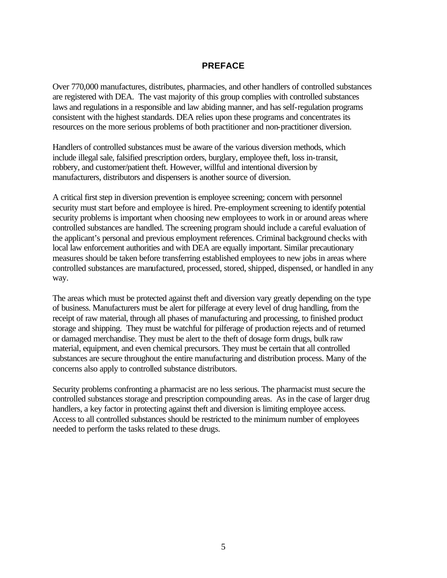# **PREFACE**

<span id="page-5-0"></span>Over 770,000 manufactures, distributes, pharmacies, and other handlers of controlled substances are registered with DEA. The vast majority of this group complies with controlled substances laws and regulations in a responsible and law abiding manner, and has self-regulation programs consistent with the highest standards. DEA relies upon these programs and concentrates its resources on the more serious problems of both practitioner and non-practitioner diversion.

Handlers of controlled substances must be aware of the various diversion methods, which include illegal sale, falsified prescription orders, burglary, employee theft, loss in-transit, robbery, and customer/patient theft. However, willful and intentional diversion by manufacturers, distributors and dispensers is another source of diversion.

A critical first step in diversion prevention is employee screening; concern with personnel security must start before and employee is hired. Pre-employment screening to identify potential security problems is important when choosing new employees to work in or around areas where controlled substances are handled. The screening program should include a careful evaluation of the applicant's personal and previous employment references. Criminal background checks with local law enforcement authorities and with DEA are equally important. Similar precautionary measures should be taken before transferring established employees to new jobs in areas where controlled substances are manufactured, processed, stored, shipped, dispensed, or handled in any way.

The areas which must be protected against theft and diversion vary greatly depending on the type of business. Manufacturers must be alert for pilferage at every level of drug handling, from the receipt of raw material, through all phases of manufacturing and processing, to finished product storage and shipping. They must be watchful for pilferage of production rejects and of returned or damaged merchandise. They must be alert to the theft of dosage form drugs, bulk raw material, equipment, and even chemical precursors. They must be certain that all controlled substances are secure throughout the entire manufacturing and distribution process. Many of the concerns also apply to controlled substance distributors.

Security problems confronting a pharmacist are no less serious. The pharmacist must secure the controlled substances storage and prescription compounding areas. As in the case of larger drug handlers, a key factor in protecting against theft and diversion is limiting employee access. Access to all controlled substances should be restricted to the minimum number of employees needed to perform the tasks related to these drugs.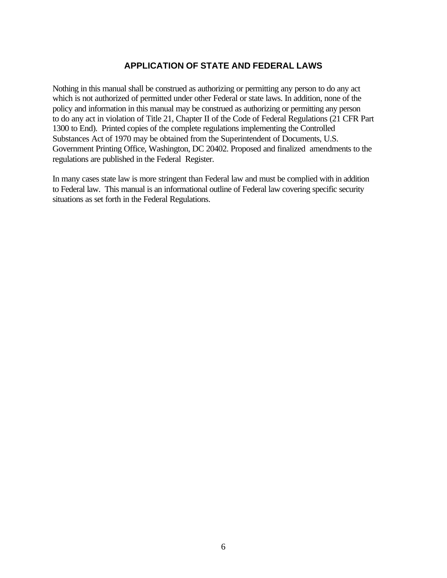# **APPLICATION OF STATE AND FEDERAL LAWS**

<span id="page-6-0"></span>Nothing in this manual shall be construed as authorizing or permitting any person to do any act which is not authorized of permitted under other Federal or state laws. In addition, none of the policy and information in this manual may be construed as authorizing or permitting any person to do any act in violation of Title 21, Chapter II of the Code of Federal Regulations (21 CFR Part 1300 to End). Printed copies of the complete regulations implementing the Controlled Substances Act of 1970 may be obtained from the Superintendent of Documents, U.S. Government Printing Office, Washington, DC 20402. Proposed and finalized amendments to the regulations are published in the Federal Register.

In many cases state law is more stringent than Federal law and must be complied with in addition to Federal law. This manual is an informational outline of Federal law covering specific security situations as set forth in the Federal Regulations.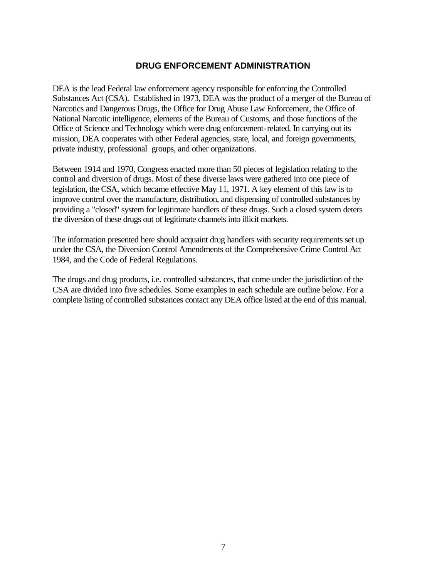# **DRUG ENFORCEMENT ADMINISTRATION**

<span id="page-7-0"></span>DEA is the lead Federal law enforcement agency responsible for enforcing the Controlled Substances Act (CSA). Established in 1973, DEA was the product of a merger of the Bureau of Narcotics and Dangerous Drugs, the Office for Drug Abuse Law Enforcement, the Office of National Narcotic intelligence, elements of the Bureau of Customs, and those functions of the Office of Science and Technology which were drug enforcement-related. In carrying out its mission, DEA cooperates with other Federal agencies, state, local, and foreign governments, private industry, professional groups, and other organizations.

Between 1914 and 1970, Congress enacted more than 50 pieces of legislation relating to the control and diversion of drugs. Most of these diverse laws were gathered into one piece of legislation, the CSA, which became effective May 11, 1971. A key element of this law is to improve control over the manufacture, distribution, and dispensing of controlled substances by providing a "closed" system for legitimate handlers of these drugs. Such a closed system deters the diversion of these drugs out of legitimate channels into illicit markets.

The information presented here should acquaint drug handlers with security requirements set up under the CSA, the Diversion Control Amendments of the Comprehensive Crime Control Act 1984, and the Code of Federal Regulations.

The drugs and drug products, i.e. controlled substances, that come under the jurisdiction of the CSA are divided into five schedules. Some examples in each schedule are outline below. For a complete listing of controlled substances contact any DEA office listed at the end of this manual.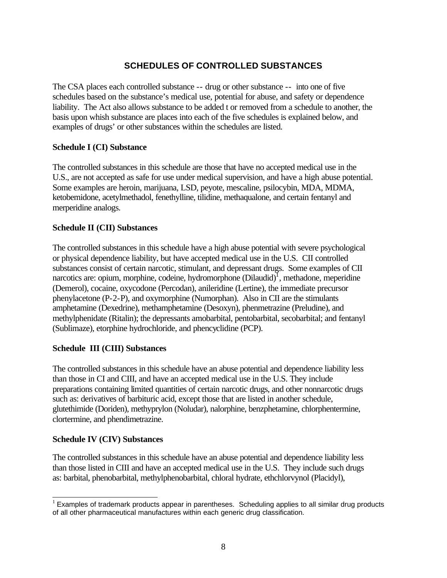# **SCHEDULES OF CONTROLLED SUBSTANCES**

<span id="page-8-0"></span>The CSA places each controlled substance -- drug or other substance -- into one of five schedules based on the substance's medical use, potential for abuse, and safety or dependence liability. The Act also allows substance to be added t or removed from a schedule to another, the basis upon whish substance are places into each of the five schedules is explained below, and examples of drugs' or other substances within the schedules are listed.

#### **Schedule I (CI) Substance**

The controlled substances in this schedule are those that have no accepted medical use in the U.S., are not accepted as safe for use under medical supervision, and have a high abuse potential. Some examples are heroin, marijuana, LSD, peyote, mescaline, psilocybin, MDA, MDMA, ketobemidone, acetylmethadol, fenethylline, tilidine, methaqualone, and certain fentanyl and merperidine analogs.

#### **Schedule II (CII) Substances**

The controlled substances in this schedule have a high abuse potential with severe psychological or physical dependence liability, but have accepted medical use in the U.S. CII controlled substances consist of certain narcotic, stimulant, and depressant drugs. Some examples of CII narcotics are: opium, morphine, codeine, hydromorphone (Dilaudid)<sup>1</sup>, methadone, meperidine (Demerol), cocaine, oxycodone (Percodan), anileridine (Lertine), the immediate precursor phenylacetone (P-2-P), and oxymorphine (Numorphan). Also in CII are the stimulants amphetamine (Dexedrine), methamphetamine (Desoxyn), phenmetrazine (Preludine), and methylphenidate (Ritalin); the depressants amobarbital, pentobarbital, secobarbital; and fentanyl (Sublimaze), etorphine hydrochloride, and phencyclidine (PCP).

# **Schedule III (CIII) Substances**

The controlled substances in this schedule have an abuse potential and dependence liability less than those in CI and CIII, and have an accepted medical use in the U.S. They include preparations containing limited quantities of certain narcotic drugs, and other nonnarcotic drugs such as: derivatives of barbituric acid, except those that are listed in another schedule, glutethimide (Doriden), methyprylon (Noludar), nalorphine, benzphetamine, chlorphentermine, clortermine, and phendimetrazine.

#### **Schedule IV (CIV) Substances**

The controlled substances in this schedule have an abuse potential and dependence liability less than those listed in CIII and have an accepted medical use in the U.S. They include such drugs as: barbital, phenobarbital, methylphenobarbital, chloral hydrate, ethchlorvynol (Placidyl),

l  $<sup>1</sup>$  Examples of trademark products appear in parentheses. Scheduling applies to all similar drug products</sup> of all other pharmaceutical manufactures within each generic drug classification.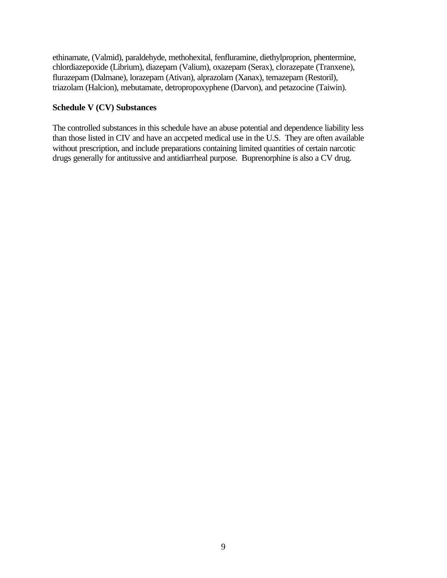ethinamate, (Valmid), paraldehyde, methohexital, fenfluramine, diethylproprion, phentermine, chlordiazepoxide (Librium), diazepam (Valium), oxazepam (Serax), clorazepate (Tranxene), flurazepam (Dalmane), lorazepam (Ativan), alprazolam (Xanax), temazepam (Restoril), triazolam (Halcion), mebutamate, detropropoxyphene (Darvon), and petazocine (Taiwin).

#### **Schedule V (CV) Substances**

The controlled substances in this schedule have an abuse potential and dependence liability less than those listed in CIV and have an accpeted medical use in the U.S. They are often available without prescription, and include preparations containing limited quantities of certain narcotic drugs generally for antitussive and antidiarrheal purpose. Buprenorphine is also a CV drug.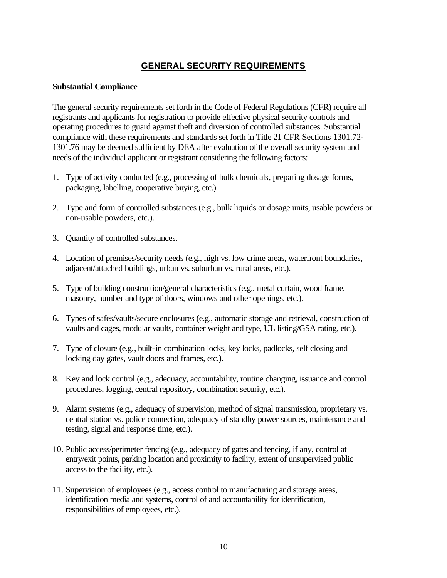# **GENERAL SECURITY REQUIREMENTS**

#### <span id="page-10-0"></span>**Substantial Compliance**

The general security requirements set forth in the Code of Federal Regulations (CFR) require all registrants and applicants for registration to provide effective physical security controls and operating procedures to guard against theft and diversion of controlled substances. Substantial compliance with these requirements and standards set forth in Title 21 CFR Sections 1301.72- 1301.76 may be deemed sufficient by DEA after evaluation of the overall security system and needs of the individual applicant or registrant considering the following factors:

- 1. Type of activity conducted (e.g., processing of bulk chemicals, preparing dosage forms, packaging, labelling, cooperative buying, etc.).
- 2. Type and form of controlled substances (e.g., bulk liquids or dosage units, usable powders or non-usable powders, etc.).
- 3. Quantity of controlled substances.
- 4. Location of premises/security needs (e.g., high vs. low crime areas, waterfront boundaries, adjacent/attached buildings, urban vs. suburban vs. rural areas, etc.).
- 5. Type of building construction/general characteristics (e.g., metal curtain, wood frame, masonry, number and type of doors, windows and other openings, etc.).
- 6. Types of safes/vaults/secure enclosures (e.g., automatic storage and retrieval, construction of vaults and cages, modular vaults, container weight and type, UL listing/GSA rating, etc.).
- 7. Type of closure (e.g., built-in combination locks, key locks, padlocks, self closing and locking day gates, vault doors and frames, etc.).
- 8. Key and lock control (e.g., adequacy, accountability, routine changing, issuance and control procedures, logging, central repository, combination security, etc.).
- 9. Alarm systems (e.g., adequacy of supervision, method of signal transmission, proprietary vs. central station vs. police connection, adequacy of standby power sources, maintenance and testing, signal and response time, etc.).
- 10. Public access/perimeter fencing (e.g., adequacy of gates and fencing, if any, control at entry/exit points, parking location and proximity to facility, extent of unsupervised public access to the facility, etc.).
- 11. Supervision of employees (e.g., access control to manufacturing and storage areas, identification media and systems, control of and accountability for identification, responsibilities of employees, etc.).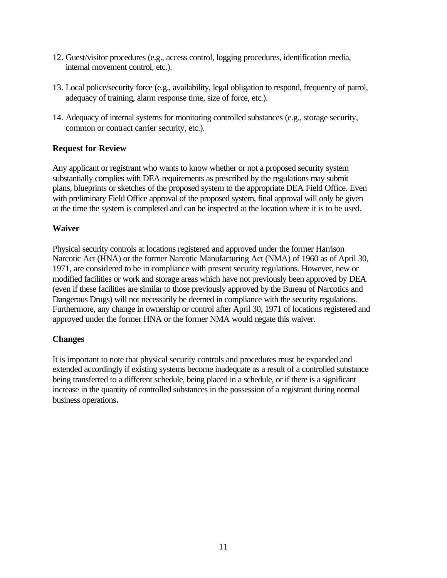- <span id="page-11-0"></span>12. Guest/visitor procedures (e.g., access control, logging procedures, identification media, internal movement control, etc.).
- 13. Local police/security force (e.g., availability, legal obligation to respond, frequency of patrol, adequacy of training, alarm response time, size of force, etc.).
- 14. Adequacy of internal systems for monitoring controlled substances (e.g., storage security, common or contract carrier security, etc.).

# **Request for Review**

Any applicant or registrant who wants to know whether or not a proposed security system substantially complies with DEA requirements as prescribed by the regulations may submit plans, blueprints or sketches of the proposed system to the appropriate DEA Field Office. Even with preliminary Field Office approval of the proposed system, final approval will only be given at the time the system is completed and can be inspected at the location where it is to be used.

# **Waiver**

Physical security controls at locations registered and approved under the former Harrison Narcotic Act (HNA) or the former Narcotic Manufacturing Act (NMA) of 1960 as of April 30, 1971, are considered to be in compliance with present security regulations. However, new or modified facilities or work and storage areas which have not previously been approved by DEA (even if these facilities are similar to those previously approved by the Bureau of Narcotics and Dangerous Drugs) will not necessarily be deemed in compliance with the security regulations. Furthermore, any change in ownership or control after April 30, 1971 of locations registered and approved under the former HNA or the former NMA would negate this waiver.

# **Changes**

It is important to note that physical security controls and procedures must be expanded and extended accordingly if existing systems become inadequate as a result of a controlled substance being transferred to a different schedule, being placed in a schedule, or if there is a significant increase in the quantity of controlled substances in the possession of a registrant during normal business operations*.*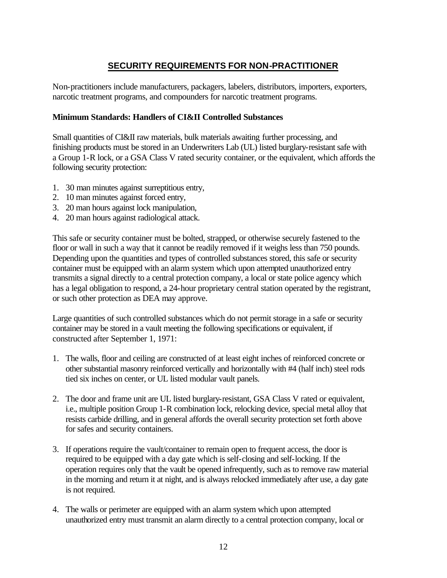# **SECURITY REQUIREMENTS FOR NON-PRACTITIONER**

<span id="page-12-0"></span>Non-practitioners include manufacturers, packagers, labelers, distributors, importers, exporters, narcotic treatment programs, and compounders for narcotic treatment programs.

#### **Minimum Standards: Handlers of CI&II Controlled Substances**

Small quantities of CI&II raw materials, bulk materials awaiting further processing, and finishing products must be stored in an Underwriters Lab (UL) listed burglary-resistant safe with a Group 1-R lock, or a GSA Class V rated security container, or the equivalent, which affords the following security protection:

- 1. 30 man minutes against surreptitious entry,
- 2. 10 man minutes against forced entry,
- 3. 20 man hours against lock manipulation,
- 4. 20 man hours against radiological attack.

This safe or security container must be bolted, strapped, or otherwise securely fastened to the floor or wall in such a way that it cannot be readily removed if it weighs less than 750 pounds. Depending upon the quantities and types of controlled substances stored, this safe or security container must be equipped with an alarm system which upon attempted unauthorized entry transmits a signal directly to a central protection company, a local or state police agency which has a legal obligation to respond, a 24-hour proprietary central station operated by the registrant, or such other protection as DEA may approve.

Large quantities of such controlled substances which do not permit storage in a safe or security container may be stored in a vault meeting the following specifications or equivalent, if constructed after September 1, 1971:

- 1. The walls, floor and ceiling are constructed of at least eight inches of reinforced concrete or other substantial masonry reinforced vertically and horizontally with #4 (half inch) steel rods tied six inches on center, or UL listed modular vault panels.
- 2. The door and frame unit are UL listed burglary-resistant, GSA Class V rated or equivalent, i.e., multiple position Group 1-R combination lock, relocking device, special metal alloy that resists carbide drilling, and in general affords the overall security protection set forth above for safes and security containers.
- 3. If operations require the vault/container to remain open to frequent access, the door is required to be equipped with a day gate which is self-closing and self-locking. If the operation requires only that the vault be opened infrequently, such as to remove raw material in the morning and return it at night, and is always relocked immediately after use, a day gate is not required.
- 4. The walls or perimeter are equipped with an alarm system which upon attempted unauthorized entry must transmit an alarm directly to a central protection company, local or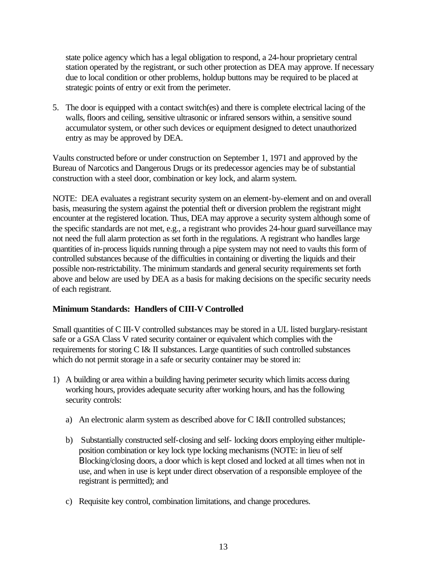<span id="page-13-0"></span>state police agency which has a legal obligation to respond, a 24-hour proprietary central station operated by the registrant, or such other protection as DEA may approve. If necessary due to local condition or other problems, holdup buttons may be required to be placed at strategic points of entry or exit from the perimeter.

5. The door is equipped with a contact switch(es) and there is complete electrical lacing of the walls, floors and ceiling, sensitive ultrasonic or infrared sensors within, a sensitive sound accumulator system, or other such devices or equipment designed to detect unauthorized entry as may be approved by DEA.

Vaults constructed before or under construction on September 1, 1971 and approved by the Bureau of Narcotics and Dangerous Drugs or its predecessor agencies may be of substantial construction with a steel door, combination or key lock, and alarm system.

NOTE: DEA evaluates a registrant security system on an element-by-element and on and overall basis, measuring the system against the potential theft or diversion problem the registrant might encounter at the registered location. Thus, DEA may approve a security system although some of the specific standards are not met, e.g., a registrant who provides 24-hour guard surveillance may not need the full alarm protection as set forth in the regulations. A registrant who handles large quantities of in-process liquids running through a pipe system may not need to vaults this form of controlled substances because of the difficulties in containing or diverting the liquids and their possible non-restrictability. The minimum standards and general security requirements set forth above and below are used by DEA as a basis for making decisions on the specific security needs of each registrant.

# **Minimum Standards: Handlers of CIII-V Controlled**

Small quantities of C III-V controlled substances may be stored in a UL listed burglary-resistant safe or a GSA Class V rated security container or equivalent which complies with the requirements for storing C I& II substances. Large quantities of such controlled substances which do not permit storage in a safe or security container may be stored in:

- 1) A building or area within a building having perimeter security which limits access during working hours, provides adequate security after working hours, and has the following security controls:
	- a) An electronic alarm system as described above for C I&II controlled substances;
	- b) Substantially constructed self-closing and self- locking doors employing either multipleposition combination or key lock type locking mechanisms (NOTE: in lieu of self Βlocking/closing doors, a door which is kept closed and locked at all times when not in use, and when in use is kept under direct observation of a responsible employee of the registrant is permitted); and
	- c) Requisite key control, combination limitations, and change procedures.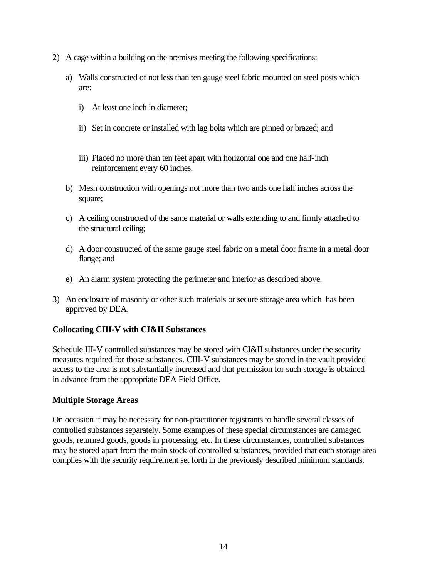- <span id="page-14-0"></span>2) A cage within a building on the premises meeting the following specifications:
	- a) Walls constructed of not less than ten gauge steel fabric mounted on steel posts which are:
		- i) At least one inch in diameter;
		- ii) Set in concrete or installed with lag bolts which are pinned or brazed; and
		- iii) Placed no more than ten feet apart with horizontal one and one half-inch reinforcement every 60 inches.
	- b) Mesh construction with openings not more than two ands one half inches across the square;
	- c) A ceiling constructed of the same material or walls extending to and firmly attached to the structural ceiling;
	- d) A door constructed of the same gauge steel fabric on a metal door frame in a metal door flange; and
	- e) An alarm system protecting the perimeter and interior as described above.
- 3) An enclosure of masonry or other such materials or secure storage area which has been approved by DEA.

# **Collocating CIII-V with CI&II Substances**

Schedule III-V controlled substances may be stored with CI&II substances under the security measures required for those substances. CIII-V substances may be stored in the vault provided access to the area is not substantially increased and that permission for such storage is obtained in advance from the appropriate DEA Field Office.

#### **Multiple Storage Areas**

On occasion it may be necessary for non-practitioner registrants to handle several classes of controlled substances separately. Some examples of these special circumstances are damaged goods, returned goods, goods in processing, etc. In these circumstances, controlled substances may be stored apart from the main stock of controlled substances, provided that each storage area complies with the security requirement set forth in the previously described minimum standards.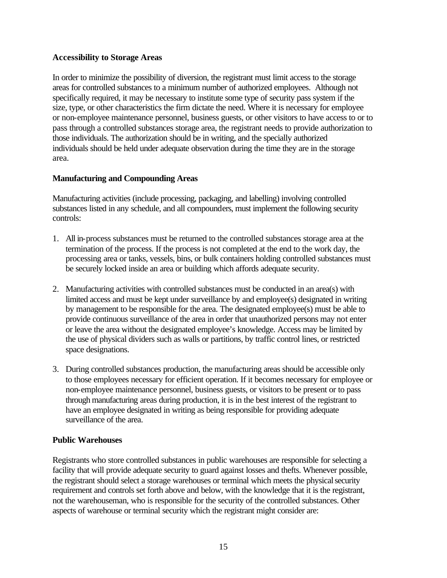#### <span id="page-15-0"></span>**Accessibility to Storage Areas**

In order to minimize the possibility of diversion, the registrant must limit access to the storage areas for controlled substances to a minimum number of authorized employees. Although not specifically required, it may be necessary to institute some type of security pass system if the size, type, or other characteristics the firm dictate the need. Where it is necessary for employee or non-employee maintenance personnel, business guests, or other visitors to have access to or to pass through a controlled substances storage area, the registrant needs to provide authorization to those individuals. The authorization should be in writing, and the specially authorized individuals should be held under adequate observation during the time they are in the storage area.

#### **Manufacturing and Compounding Areas**

Manufacturing activities (include processing, packaging, and labelling) involving controlled substances listed in any schedule, and all compounders, must implement the following security controls:

- 1. All in-process substances must be returned to the controlled substances storage area at the termination of the process. If the process is not completed at the end to the work day, the processing area or tanks, vessels, bins, or bulk containers holding controlled substances must be securely locked inside an area or building which affords adequate security.
- 2. Manufacturing activities with controlled substances must be conducted in an area(s) with limited access and must be kept under surveillance by and employee(s) designated in writing by management to be responsible for the area. The designated employee(s) must be able to provide continuous surveillance of the area in order that unauthorized persons may not enter or leave the area without the designated employee's knowledge. Access may be limited by the use of physical dividers such as walls or partitions, by traffic control lines, or restricted space designations.
- 3. During controlled substances production, the manufacturing areas should be accessible only to those employees necessary for efficient operation. If it becomes necessary for employee or non-employee maintenance personnel, business guests, or visitors to be present or to pass through manufacturing areas during production, it is in the best interest of the registrant to have an employee designated in writing as being responsible for providing adequate surveillance of the area.

#### **Public Warehouses**

Registrants who store controlled substances in public warehouses are responsible for selecting a facility that will provide adequate security to guard against losses and thefts. Whenever possible, the registrant should select a storage warehouses or terminal which meets the physical security requirement and controls set forth above and below, with the knowledge that it is the registrant, not the warehouseman, who is responsible for the security of the controlled substances. Other aspects of warehouse or terminal security which the registrant might consider are: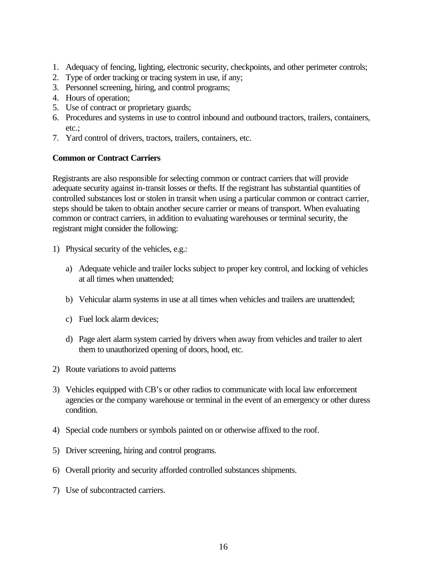- <span id="page-16-0"></span>1. Adequacy of fencing, lighting, electronic security, checkpoints, and other perimeter controls;
- 2. Type of order tracking or tracing system in use, if any;
- 3. Personnel screening, hiring, and control programs;
- 4. Hours of operation;
- 5. Use of contract or proprietary guards;
- 6. Procedures and systems in use to control inbound and outbound tractors, trailers, containers, etc.;
- 7. Yard control of drivers, tractors, trailers, containers, etc.

#### **Common or Contract Carriers**

Registrants are also responsible for selecting common or contract carriers that will provide adequate security against in-transit losses or thefts. If the registrant has substantial quantities of controlled substances lost or stolen in transit when using a particular common or contract carrier, steps should be taken to obtain another secure carrier or means of transport. When evaluating common or contract carriers, in addition to evaluating warehouses or terminal security, the registrant might consider the following:

- 1) Physical security of the vehicles, e.g.:
	- a) Adequate vehicle and trailer locks subject to proper key control, and locking of vehicles at all times when unattended;
	- b) Vehicular alarm systems in use at all times when vehicles and trailers are unattended;
	- c) Fuel lock alarm devices;
	- d) Page alert alarm system carried by drivers when away from vehicles and trailer to alert them to unauthorized opening of doors, hood, etc.
- 2) Route variations to avoid patterns
- 3) Vehicles equipped with CB's or other radios to communicate with local law enforcement agencies or the company warehouse or terminal in the event of an emergency or other duress condition.
- 4) Special code numbers or symbols painted on or otherwise affixed to the roof.
- 5) Driver screening, hiring and control programs.
- 6) Overall priority and security afforded controlled substances shipments.
- 7) Use of subcontracted carriers.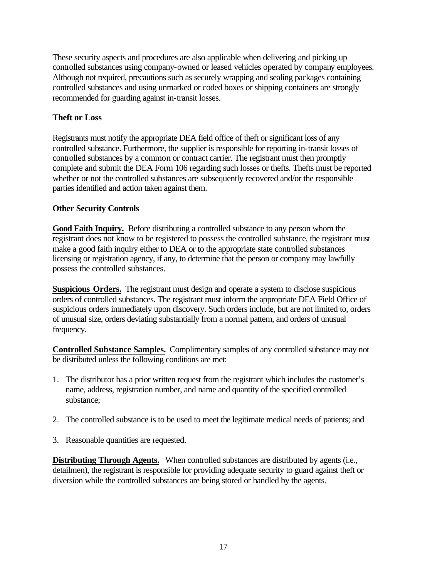<span id="page-17-0"></span>These security aspects and procedures are also applicable when delivering and picking up controlled substances using company-owned or leased vehicles operated by company employees. Although not required, precautions such as securely wrapping and sealing packages containing controlled substances and using unmarked or coded boxes or shipping containers are strongly recommended for guarding against in-transit losses.

# **Theft or Loss**

Registrants must notify the appropriate DEA field office of theft or significant loss of any controlled substance. Furthermore, the supplier is responsible for reporting in-transit losses of controlled substances by a common or contract carrier. The registrant must then promptly complete and submit the DEA Form 106 regarding such losses or thefts. Thefts must be reported whether or not the controlled substances are subsequently recovered and/or the responsible parties identified and action taken against them.

# **Other Security Controls**

**Good Faith Inquiry.** Before distributing a controlled substance to any person whom the registrant does not know to be registered to possess the controlled substance, the registrant must make a good faith inquiry either to DEA or to the appropriate state controlled substances licensing or registration agency, if any, to determine that the person or company may lawfully possess the controlled substances.

**Suspicious Orders.** The registrant must design and operate a system to disclose suspicious orders of controlled substances. The registrant must inform the appropriate DEA Field Office of suspicious orders immediately upon discovery. Such orders include, but are not limited to, orders of unusual size, orders deviating substantially from a normal pattern, and orders of unusual frequency.

**Controlled Substance Samples.** Complimentary samples of any controlled substance may not be distributed unless the following conditions are met:

- 1. The distributor has a prior written request from the registrant which includes the customer's name, address, registration number, and name and quantity of the specified controlled substance;
- 2. The controlled substance is to be used to meet the legitimate medical needs of patients; and
- 3. Reasonable quantities are requested.

**Distributing Through Agents.** When controlled substances are distributed by agents (i.e., detailmen), the registrant is responsible for providing adequate security to guard against theft or diversion while the controlled substances are being stored or handled by the agents.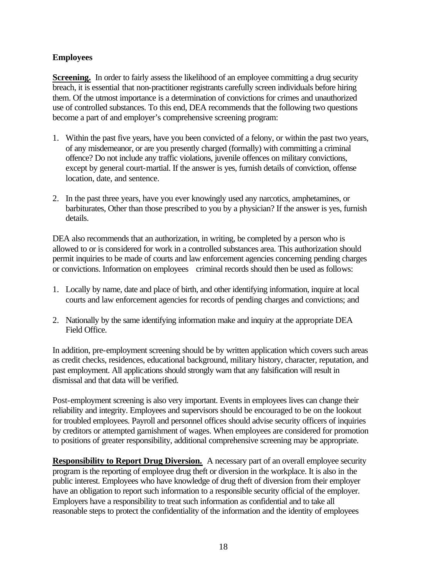# <span id="page-18-0"></span>**Employees**

**Screening.** In order to fairly assess the likelihood of an employee committing a drug security breach, it is essential that non-practitioner registrants carefully screen individuals before hiring them. Of the utmost importance is a determination of convictions for crimes and unauthorized use of controlled substances. To this end, DEA recommends that the following two questions become a part of and employer's comprehensive screening program:

- 1. Within the past five years, have you been convicted of a felony, or within the past two years, of any misdemeanor, or are you presently charged (formally) with committing a criminal offence? Do not include any traffic violations, juvenile offences on military convictions, except by general court-martial. If the answer is yes, furnish details of conviction, offense location, date, and sentence.
- 2. In the past three years, have you ever knowingly used any narcotics, amphetamines, or barbiturates, Other than those prescribed to you by a physician? If the answer is yes, furnish details.

DEA also recommends that an authorization, in writing, be completed by a person who is allowed to or is considered for work in a controlled substances area. This authorization should permit inquiries to be made of courts and law enforcement agencies concerning pending charges or convictions. Information on employees criminal records should then be used as follows:

- 1. Locally by name, date and place of birth, and other identifying information, inquire at local courts and law enforcement agencies for records of pending charges and convictions; and
- 2. Nationally by the same identifying information make and inquiry at the appropriate DEA Field Office.

In addition, pre-employment screening should be by written application which covers such areas as credit checks, residences, educational background, military history, character, reputation, and past employment. All applications should strongly warn that any falsification will result in dismissal and that data will be verified.

Post-employment screening is also very important. Events in employees lives can change their reliability and integrity. Employees and supervisors should be encouraged to be on the lookout for troubled employees. Payroll and personnel offices should advise security officers of inquiries by creditors or attempted garnishment of wages. When employees are considered for promotion to positions of greater responsibility, additional comprehensive screening may be appropriate.

**Responsibility to Report Drug Diversion.** A necessary part of an overall employee security program is the reporting of employee drug theft or diversion in the workplace. It is also in the public interest. Employees who have knowledge of drug theft of diversion from their employer have an obligation to report such information to a responsible security official of the employer. Employers have a responsibility to treat such information as confidential and to take all reasonable steps to protect the confidentiality of the information and the identity of employees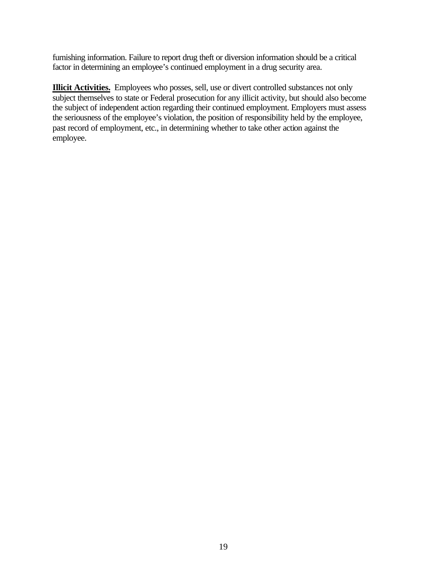<span id="page-19-0"></span>furnishing information. Failure to report drug theft or diversion information should be a critical factor in determining an employee's continued employment in a drug security area.

**Illicit Activities.** Employees who posses, sell, use or divert controlled substances not only subject themselves to state or Federal prosecution for any illicit activity, but should also become the subject of independent action regarding their continued employment. Employers must assess the seriousness of the employee's violation, the position of responsibility held by the employee, past record of employment, etc., in determining whether to take other action against the employee.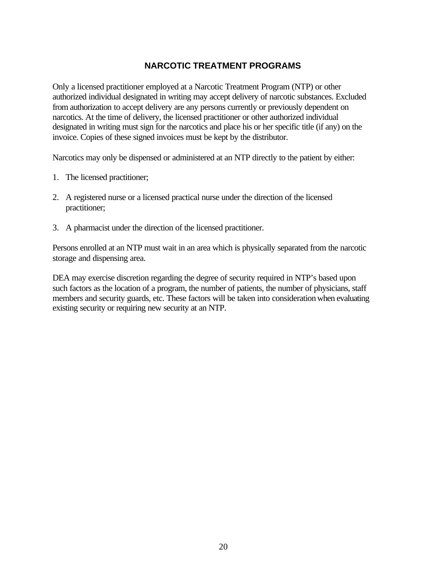# **NARCOTIC TREATMENT PROGRAMS**

<span id="page-20-0"></span>Only a licensed practitioner employed at a Narcotic Treatment Program (NTP) or other authorized individual designated in writing may accept delivery of narcotic substances. Excluded from authorization to accept delivery are any persons currently or previously dependent on narcotics. At the time of delivery, the licensed practitioner or other authorized individual designated in writing must sign for the narcotics and place his or her specific title (if any) on the invoice. Copies of these signed invoices must be kept by the distributor.

Narcotics may only be dispensed or administered at an NTP directly to the patient by either:

- 1. The licensed practitioner;
- 2. A registered nurse or a licensed practical nurse under the direction of the licensed practitioner;
- 3. A pharmacist under the direction of the licensed practitioner.

Persons enrolled at an NTP must wait in an area which is physically separated from the narcotic storage and dispensing area.

DEA may exercise discretion regarding the degree of security required in NTP's based upon such factors as the location of a program, the number of patients, the number of physicians, staff members and security guards, etc. These factors will be taken into consideration when evaluating existing security or requiring new security at an NTP.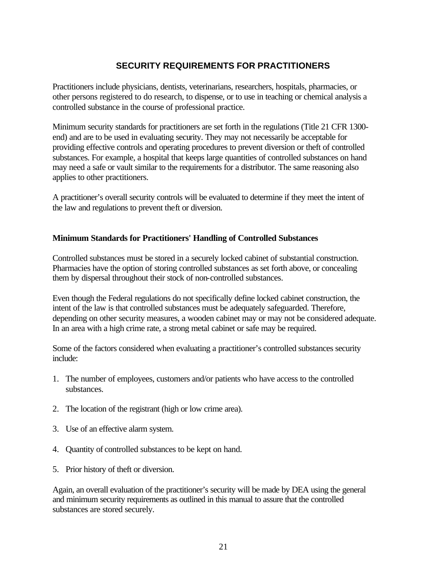# **SECURITY REQUIREMENTS FOR PRACTITIONERS**

<span id="page-21-0"></span>Practitioners include physicians, dentists, veterinarians, researchers, hospitals, pharmacies, or other persons registered to do research, to dispense, or to use in teaching or chemical analysis a controlled substance in the course of professional practice.

Minimum security standards for practitioners are set forth in the regulations (Title 21 CFR 1300 end) and are to be used in evaluating security. They may not necessarily be acceptable for providing effective controls and operating procedures to prevent diversion or theft of controlled substances. For example, a hospital that keeps large quantities of controlled substances on hand may need a safe or vault similar to the requirements for a distributor. The same reasoning also applies to other practitioners.

A practitioner's overall security controls will be evaluated to determine if they meet the intent of the law and regulations to prevent theft or diversion.

#### **Minimum Standards for Practitioners' Handling of Controlled Substances**

Controlled substances must be stored in a securely locked cabinet of substantial construction. Pharmacies have the option of storing controlled substances as set forth above, or concealing them by dispersal throughout their stock of non-controlled substances.

Even though the Federal regulations do not specifically define locked cabinet construction, the intent of the law is that controlled substances must be adequately safeguarded. Therefore, depending on other security measures, a wooden cabinet may or may not be considered adequate. In an area with a high crime rate, a strong metal cabinet or safe may be required.

Some of the factors considered when evaluating a practitioner's controlled substances security include:

- 1. The number of employees, customers and/or patients who have access to the controlled substances.
- 2. The location of the registrant (high or low crime area).
- 3. Use of an effective alarm system.
- 4. Quantity of controlled substances to be kept on hand.
- 5. Prior history of theft or diversion.

Again, an overall evaluation of the practitioner's security will be made by DEA using the general and minimum security requirements as outlined in this manual to assure that the controlled substances are stored securely.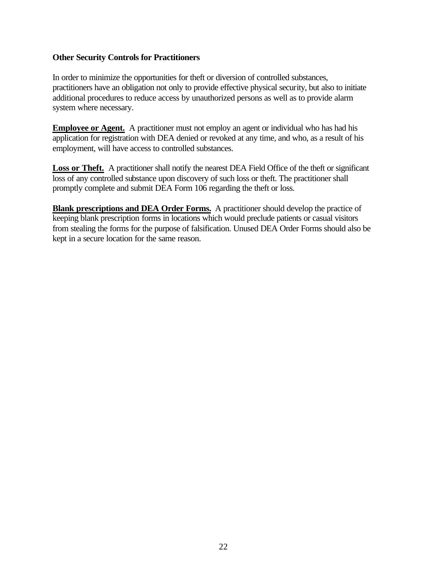#### <span id="page-22-0"></span>**Other Security Controls for Practitioners**

In order to minimize the opportunities for theft or diversion of controlled substances, practitioners have an obligation not only to provide effective physical security, but also to initiate additional procedures to reduce access by unauthorized persons as well as to provide alarm system where necessary.

**Employee or Agent.** A practitioner must not employ an agent or individual who has had his application for registration with DEA denied or revoked at any time, and who, as a result of his employment, will have access to controlled substances.

Loss or Theft. A practitioner shall notify the nearest DEA Field Office of the theft or significant loss of any controlled substance upon discovery of such loss or theft. The practitioner shall promptly complete and submit DEA Form 106 regarding the theft or loss.

**Blank prescriptions and DEA Order Forms.** A practitioner should develop the practice of keeping blank prescription forms in locations which would preclude patients or casual visitors from stealing the forms for the purpose of falsification. Unused DEA Order Forms should also be kept in a secure location for the same reason.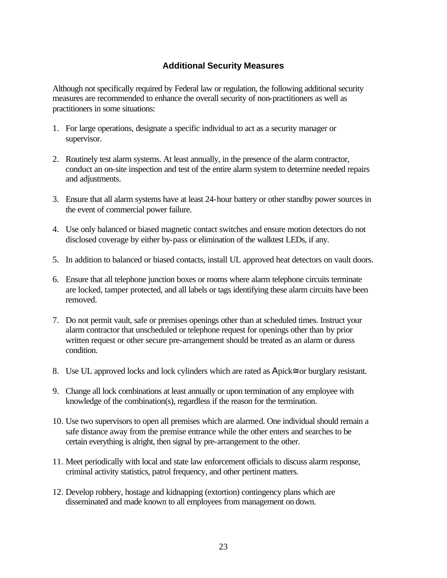# **Additional Security Measures**

<span id="page-23-0"></span>Although not specifically required by Federal law or regulation, the following additional security measures are recommended to enhance the overall security of non-practitioners as well as practitioners in some situations:

- 1. For large operations, designate a specific individual to act as a security manager or supervisor.
- 2. Routinely test alarm systems. At least annually, in the presence of the alarm contractor, conduct an on-site inspection and test of the entire alarm system to determine needed repairs and adjustments.
- 3. Ensure that all alarm systems have at least 24-hour battery or other standby power sources in the event of commercial power failure.
- 4. Use only balanced or biased magnetic contact switches and ensure motion detectors do not disclosed coverage by either by-pass or elimination of the walktest LEDs, if any.
- 5. In addition to balanced or biased contacts, install UL approved heat detectors on vault doors.
- 6. Ensure that all telephone junction boxes or rooms where alarm telephone circuits terminate are locked, tamper protected, and all labels or tags identifying these alarm circuits have been removed.
- 7. Do not permit vault, safe or premises openings other than at scheduled times. Instruct your alarm contractor that unscheduled or telephone request for openings other than by prior written request or other secure pre-arrangement should be treated as an alarm or duress condition.
- 8. Use UL approved locks and lock cylinders which are rated as Apick≅ or burglary resistant.
- 9. Change all lock combinations at least annually or upon termination of any employee with knowledge of the combination(s), regardless if the reason for the termination.
- 10. Use two supervisors to open all premises which are alarmed. One individual should remain a safe distance away from the premise entrance while the other enters and searches to be certain everything is alright, then signal by pre-arrangement to the other.
- 11. Meet periodically with local and state law enforcement officials to discuss alarm response, criminal activity statistics, patrol frequency, and other pertinent matters.
- 12. Develop robbery, hostage and kidnapping (extortion) contingency plans which are disseminated and made known to all employees from management on down.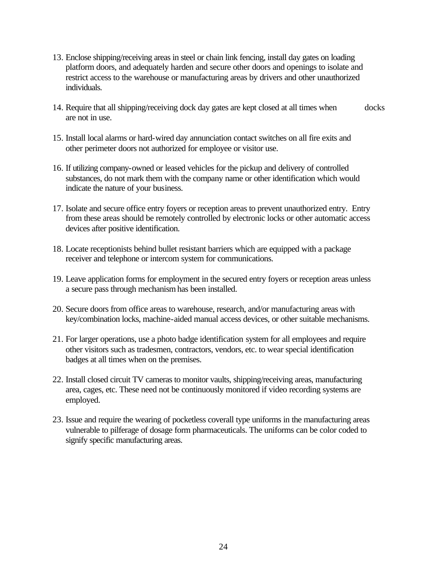- 13. Enclose shipping/receiving areas in steel or chain link fencing, install day gates on loading platform doors, and adequately harden and secure other doors and openings to isolate and restrict access to the warehouse or manufacturing areas by drivers and other unauthorized individuals.
- 14. Require that all shipping/receiving dock day gates are kept closed at all times when docks are not in use.
- 15. Install local alarms or hard-wired day annunciation contact switches on all fire exits and other perimeter doors not authorized for employee or visitor use.
- 16. If utilizing company-owned or leased vehicles for the pickup and delivery of controlled substances, do not mark them with the company name or other identification which would indicate the nature of your business.
- 17. Isolate and secure office entry foyers or reception areas to prevent unauthorized entry. Entry from these areas should be remotely controlled by electronic locks or other automatic access devices after positive identification.
- 18. Locate receptionists behind bullet resistant barriers which are equipped with a package receiver and telephone or intercom system for communications.
- 19. Leave application forms for employment in the secured entry foyers or reception areas unless a secure pass through mechanism has been installed.
- 20. Secure doors from office areas to warehouse, research, and/or manufacturing areas with key/combination locks, machine-aided manual access devices, or other suitable mechanisms.
- 21. For larger operations, use a photo badge identification system for all employees and require other visitors such as tradesmen, contractors, vendors, etc. to wear special identification badges at all times when on the premises.
- 22. Install closed circuit TV cameras to monitor vaults, shipping/receiving areas, manufacturing area, cages, etc. These need not be continuously monitored if video recording systems are employed.
- 23. Issue and require the wearing of pocketless coverall type uniforms in the manufacturing areas vulnerable to pilferage of dosage form pharmaceuticals. The uniforms can be color coded to signify specific manufacturing areas.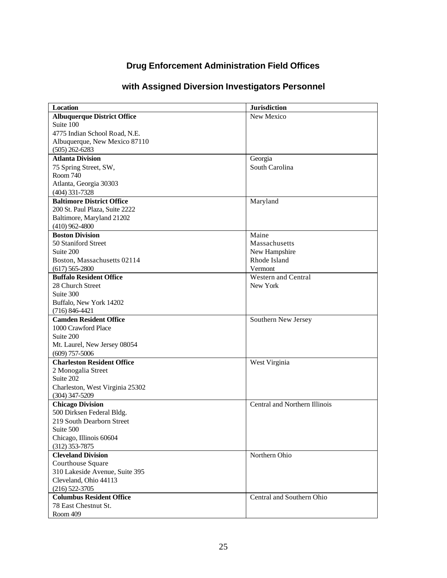# **Drug Enforcement Administration Field Offices**

<span id="page-25-0"></span>

| Location                           | <b>Jurisdiction</b>           |
|------------------------------------|-------------------------------|
| <b>Albuquerque District Office</b> | New Mexico                    |
| Suite 100                          |                               |
| 4775 Indian School Road, N.E.      |                               |
| Albuquerque, New Mexico 87110      |                               |
| $(505)$ 262-6283                   |                               |
| <b>Atlanta Division</b>            | Georgia                       |
| 75 Spring Street, SW,              | South Carolina                |
| Room 740                           |                               |
| Atlanta, Georgia 30303             |                               |
| $(404)$ 331-7328                   |                               |
| <b>Baltimore District Office</b>   | Maryland                      |
| 200 St. Paul Plaza, Suite 2222     |                               |
| Baltimore, Maryland 21202          |                               |
| $(410)$ 962-4800                   |                               |
| <b>Boston Division</b>             | Maine                         |
| 50 Staniford Street                | Massachusetts                 |
| Suite 200                          | New Hampshire                 |
| Boston, Massachusetts 02114        | Rhode Island                  |
| $(617)$ 565-2800                   | Vermont                       |
| <b>Buffalo Resident Office</b>     | <b>Western and Central</b>    |
| 28 Church Street                   | New York                      |
| Suite 300                          |                               |
| Buffalo, New York 14202            |                               |
| $(716) 846 - 4421$                 |                               |
| <b>Camden Resident Office</b>      | Southern New Jersey           |
| 1000 Crawford Place                |                               |
| Suite 200                          |                               |
| Mt. Laurel, New Jersey 08054       |                               |
| $(609)$ 757-5006                   |                               |
| <b>Charleston Resident Office</b>  | West Virginia                 |
| 2 Monogalia Street                 |                               |
| Suite 202                          |                               |
| Charleston, West Virginia 25302    |                               |
| $(304)$ 347-5209                   |                               |
| <b>Chicago Division</b>            | Central and Northern Illinois |
| 500 Dirksen Federal Bldg.          |                               |
| 219 South Dearborn Street          |                               |
| Suite 500                          |                               |
| Chicago, Illinois 60604            |                               |
| $(312)$ 353-7875                   |                               |
| <b>Cleveland Division</b>          | Northern Ohio                 |
| Courthouse Square                  |                               |
| 310 Lakeside Avenue, Suite 395     |                               |
| Cleveland, Ohio 44113              |                               |
| $(216)$ 522-3705                   |                               |
| <b>Columbus Resident Office</b>    | Central and Southern Ohio     |
| 78 East Chestnut St.               |                               |
| Room 409                           |                               |

# **with Assigned Diversion Investigators Personnel**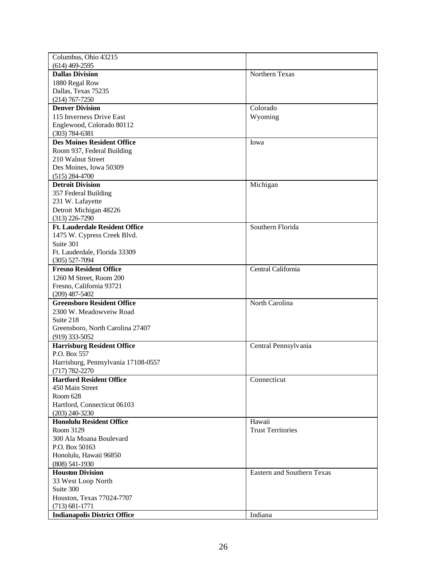| Columbus, Ohio 43215                  |                                   |
|---------------------------------------|-----------------------------------|
| $(614)$ 469-2595                      |                                   |
| <b>Dallas Division</b>                | Northern Texas                    |
| 1880 Regal Row                        |                                   |
| Dallas, Texas 75235                   |                                   |
| $(214)$ 767-7250                      |                                   |
| <b>Denver Division</b>                | Colorado                          |
| 115 Inverness Drive East              | Wyoming                           |
| Englewood, Colorado 80112             |                                   |
| $(303) 784 - 6381$                    |                                   |
| <b>Des Moines Resident Office</b>     | Iowa                              |
| Room 937, Federal Building            |                                   |
| 210 Walnut Street                     |                                   |
| Des Moines, Iowa 50309                |                                   |
| $(515)$ 284-4700                      |                                   |
| <b>Detroit Division</b>               | Michigan                          |
|                                       |                                   |
| 357 Federal Building                  |                                   |
| 231 W. Lafayette                      |                                   |
| Detroit Michigan 48226                |                                   |
| $(313)$ 226-7290                      |                                   |
| <b>Ft. Lauderdale Resident Office</b> | Southern Florida                  |
| 1475 W. Cypress Creek Blvd.           |                                   |
| Suite 301                             |                                   |
| Ft. Lauderdale, Florida 33309         |                                   |
| $(305) 527 - 7094$                    |                                   |
| <b>Fresno Resident Office</b>         | Central California                |
| 1260 M Street, Room 200               |                                   |
| Fresno, California 93721              |                                   |
| $(209)$ 487-5402                      |                                   |
| <b>Greensboro Resident Office</b>     | North Carolina                    |
| 2300 W. Meadowveiw Road               |                                   |
| Suite 218                             |                                   |
| Greensboro, North Carolina 27407      |                                   |
| $(919)$ 333-5052                      |                                   |
| <b>Harrisburg Resident Office</b>     | Central Pennsylvania              |
| P.O. Box 557                          |                                   |
| Harrisburg, Pennsylvania 17108-0557   |                                   |
| $(717) 782 - 2270$                    |                                   |
| <b>Hartford Resident Office</b>       | Connecticut                       |
| 450 Main Street                       |                                   |
| Room 628                              |                                   |
| Hartford, Connecticut 06103           |                                   |
| $(203)$ 240-3230                      |                                   |
| <b>Honolulu Resident Office</b>       | Hawaii                            |
| Room 3129                             | <b>Trust Territories</b>          |
| 300 Ala Moana Boulevard               |                                   |
| P.O. Box 50163                        |                                   |
| Honolulu, Hawaii 96850                |                                   |
| $(808) 541 - 1930$                    |                                   |
| <b>Houston Division</b>               | <b>Eastern and Southern Texas</b> |
| 33 West Loop North                    |                                   |
| Suite 300                             |                                   |
| Houston, Texas 77024-7707             |                                   |
| $(713) 681 - 1771$                    |                                   |
| <b>Indianapolis District Office</b>   | Indiana                           |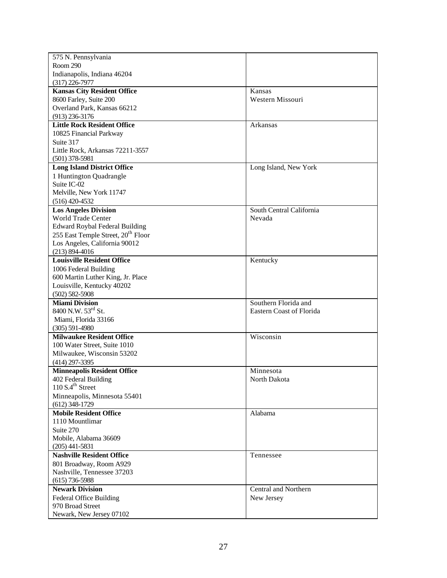| 575 N. Pennsylvania                                     |                                 |
|---------------------------------------------------------|---------------------------------|
| Room 290                                                |                                 |
| Indianapolis, Indiana 46204                             |                                 |
| $(317)$ 226-7977                                        |                                 |
| <b>Kansas City Resident Office</b>                      | Kansas                          |
| 8600 Farley, Suite 200                                  | Western Missouri                |
| Overland Park, Kansas 66212                             |                                 |
| $(913)$ 236-3176                                        |                                 |
| <b>Little Rock Resident Office</b>                      | Arkansas                        |
| 10825 Financial Parkway                                 |                                 |
| Suite 317                                               |                                 |
| Little Rock, Arkansas 72211-3557                        |                                 |
| $(501)$ 378-5981                                        |                                 |
| <b>Long Island District Office</b>                      | Long Island, New York           |
| 1 Huntington Quadrangle                                 |                                 |
| Suite IC-02                                             |                                 |
| Melville, New York 11747                                |                                 |
| $(516)$ 420-4532                                        |                                 |
| <b>Los Angeles Division</b>                             | South Central California        |
| <b>World Trade Center</b>                               | Nevada                          |
| <b>Edward Roybal Federal Building</b>                   |                                 |
| 255 East Temple Street, 20 <sup>th</sup> Floor          |                                 |
| Los Angeles, California 90012                           |                                 |
| $(213) 894 - 4016$                                      |                                 |
| <b>Louisville Resident Office</b>                       |                                 |
|                                                         | Kentucky                        |
| 1006 Federal Building                                   |                                 |
| 600 Martin Luther King, Jr. Place                       |                                 |
| Louisville, Kentucky 40202                              |                                 |
| $(502) 582 - 5908$                                      |                                 |
| <b>Miami Division</b><br>8400 N.W. 53 <sup>rd</sup> St. | Southern Florida and            |
|                                                         | <b>Eastern Coast of Florida</b> |
| Miami, Florida 33166                                    |                                 |
| $(305) 591 - 4980$                                      |                                 |
| <b>Milwaukee Resident Office</b>                        | Wisconsin                       |
| 100 Water Street, Suite 1010                            |                                 |
| Milwaukee, Wisconsin 53202                              |                                 |
| $(414)$ 297-3395                                        |                                 |
| <b>Minneapolis Resident Office</b>                      | Minnesota                       |
| 402 Federal Building                                    | North Dakota                    |
| 110 S.4 <sup>th</sup> Street                            |                                 |
| Minneapolis, Minnesota 55401                            |                                 |
| $(612)$ 348-1729                                        |                                 |
| <b>Mobile Resident Office</b>                           | Alabama                         |
| 1110 Mountlimar                                         |                                 |
| Suite 270                                               |                                 |
| Mobile, Alabama 36609                                   |                                 |
| $(205)$ 441-5831                                        |                                 |
| <b>Nashville Resident Office</b>                        | Tennessee                       |
| 801 Broadway, Room A929                                 |                                 |
| Nashville, Tennessee 37203                              |                                 |
| $(615)$ 736-5988                                        |                                 |
| <b>Newark Division</b>                                  | Central and Northern            |
| <b>Federal Office Building</b>                          | New Jersey                      |
| 970 Broad Street                                        |                                 |
| Newark, New Jersey 07102                                |                                 |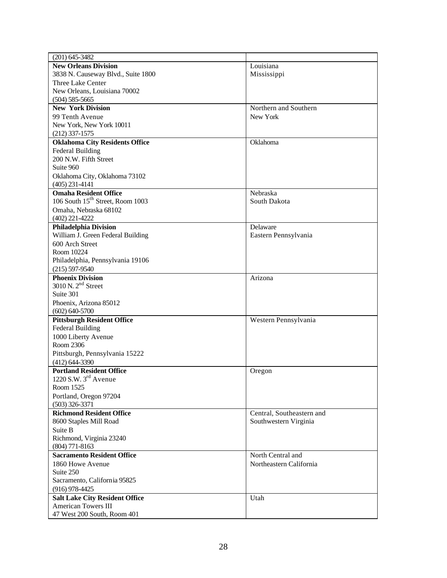| $(201) 645 - 3482$                              |                           |
|-------------------------------------------------|---------------------------|
| <b>New Orleans Division</b>                     | Louisiana                 |
| 3838 N. Causeway Blvd., Suite 1800              | Mississippi               |
| Three Lake Center                               |                           |
| New Orleans, Louisiana 70002                    |                           |
| $(504) 585 - 5665$                              |                           |
| <b>New York Division</b>                        | Northern and Southern     |
| 99 Tenth Avenue                                 | New York                  |
| New York, New York 10011                        |                           |
| $(212)$ 337-1575                                |                           |
| <b>Oklahoma City Residents Office</b>           | Oklahoma                  |
| <b>Federal Building</b>                         |                           |
| 200 N.W. Fifth Street                           |                           |
| Suite 960                                       |                           |
| Oklahoma City, Oklahoma 73102                   |                           |
| $(405)$ 231-4141                                |                           |
| <b>Omaha Resident Office</b>                    | Nebraska                  |
| 106 South 15 <sup>th</sup> Street, Room 1003    | South Dakota              |
| Omaha, Nebraska 68102                           |                           |
| $(402)$ 221-4222                                |                           |
| <b>Philadelphia Division</b>                    | Delaware                  |
| William J. Green Federal Building               | Eastern Pennsylvania      |
| 600 Arch Street                                 |                           |
| Room 10224                                      |                           |
| Philadelphia, Pennsylvania 19106                |                           |
| $(215) 597 - 9540$                              |                           |
| <b>Phoenix Division</b><br>3010 N. $2nd$ Street | Arizona                   |
| Suite 301                                       |                           |
|                                                 |                           |
| Phoenix, Arizona 85012<br>$(602) 640 - 5700$    |                           |
| <b>Pittsburgh Resident Office</b>               | Western Pennsylvania      |
| <b>Federal Building</b>                         |                           |
| 1000 Liberty Avenue                             |                           |
| Room 2306                                       |                           |
| Pittsburgh, Pennsylvania 15222                  |                           |
| $(412) 644 - 3390$                              |                           |
| <b>Portland Resident Office</b>                 | Oregon                    |
| 1220 S.W. $3rd$ Avenue                          |                           |
| Room 1525                                       |                           |
| Portland, Oregon 97204                          |                           |
| $(503)$ 326-3371                                |                           |
| <b>Richmond Resident Office</b>                 | Central, Southeastern and |
| 8600 Staples Mill Road                          | Southwestern Virginia     |
| Suite B                                         |                           |
| Richmond, Virginia 23240                        |                           |
| $(804)$ 771-8163                                |                           |
| <b>Sacramento Resident Office</b>               | North Central and         |
| 1860 Howe Avenue                                | Northeastern California   |
| Suite 250                                       |                           |
| Sacramento, California 95825                    |                           |
| $(916)$ 978-4425                                |                           |
| <b>Salt Lake City Resident Office</b>           | Utah                      |
| <b>American Towers III</b>                      |                           |
| 47 West 200 South, Room 401                     |                           |